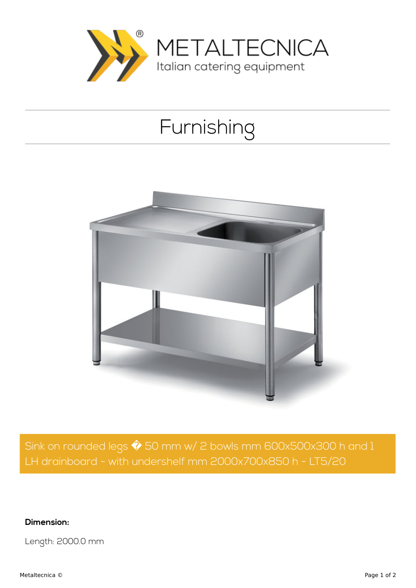

## Furnishing



Sink on rounded legs  $\hat{\blacklozenge}$  50 mm w/ 2 bowls mm 600x500x300 h and 1 LH drainboard - with undershelf mm 2000x700x850 h - LT5/20

**Dimension:**

Length: 2000.0 mm